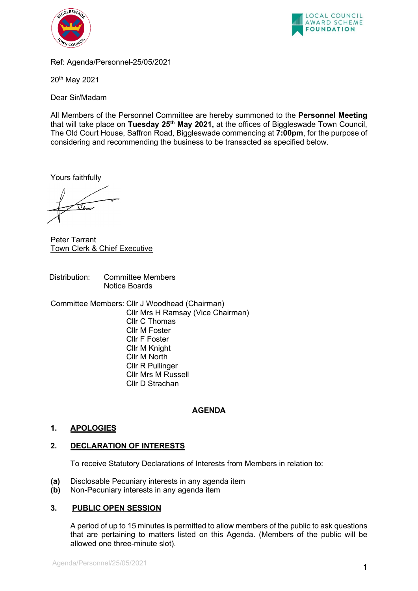



Ref: Agenda/Personnel-25/05/2021

20th May 2021

Dear Sir/Madam

All Members of the Personnel Committee are hereby summoned to the **Personnel Meeting**  that will take place on **Tuesday 25th May 2021,** at the offices of Biggleswade Town Council, The Old Court House, Saffron Road, Biggleswade commencing at **7:00pm**, for the purpose of considering and recommending the business to be transacted as specified below.

Yours faithfully

 $\sqrt{n}$ 

Peter Tarrant Town Clerk & Chief Executive

Distribution: Committee Members Notice Boards

Committee Members: Cllr J Woodhead (Chairman) Cllr Mrs H Ramsay (Vice Chairman) Cllr C Thomas Cllr M Foster Cllr F Foster Cllr M Knight Cllr M North Cllr R Pullinger Cllr Mrs M Russell Cllr D Strachan

# **AGENDA**

# **1. APOLOGIES**

# **2. DECLARATION OF INTERESTS**

To receive Statutory Declarations of Interests from Members in relation to:

- **(a)** Disclosable Pecuniary interests in any agenda item
- **(b)** Non-Pecuniary interests in any agenda item

### **3. PUBLIC OPEN SESSION**

A period of up to 15 minutes is permitted to allow members of the public to ask questions that are pertaining to matters listed on this Agenda. (Members of the public will be allowed one three-minute slot).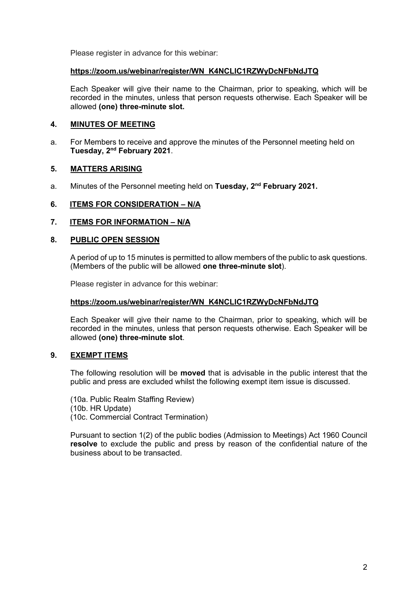Please register in advance for this webinar:

### **[https://zoom.us/webinar/register/WN\\_K4NCLlC1RZWyDcNFbNdJTQ](https://zoom.us/webinar/register/WN_K4NCLlC1RZWyDcNFbNdJTQ)**

Each Speaker will give their name to the Chairman, prior to speaking, which will be recorded in the minutes, unless that person requests otherwise. Each Speaker will be allowed **(one) three-minute slot.**

## **4. MINUTES OF MEETING**

a. For Members to receive and approve the minutes of the Personnel meeting held on **Tuesday, 2nd February 2021**.

## **5. MATTERS ARISING**

a. Minutes of the Personnel meeting held on **Tuesday, 2nd February 2021.**

## **6. ITEMS FOR CONSIDERATION – N/A**

### **7. ITEMS FOR INFORMATION – N/A**

### **8. PUBLIC OPEN SESSION**

A period of up to 15 minutes is permitted to allow members of the public to ask questions. (Members of the public will be allowed **one three-minute slot**).

Please register in advance for this webinar:

### **[https://zoom.us/webinar/register/WN\\_K4NCLlC1RZWyDcNFbNdJTQ](https://zoom.us/webinar/register/WN_K4NCLlC1RZWyDcNFbNdJTQ)**

Each Speaker will give their name to the Chairman, prior to speaking, which will be recorded in the minutes, unless that person requests otherwise. Each Speaker will be allowed **(one) three-minute slot**.

### **9. EXEMPT ITEMS**

The following resolution will be **moved** that is advisable in the public interest that the public and press are excluded whilst the following exempt item issue is discussed.

(10a. Public Realm Staffing Review) (10b. HR Update) (10c. Commercial Contract Termination)

Pursuant to section 1(2) of the public bodies (Admission to Meetings) Act 1960 Council **resolve** to exclude the public and press by reason of the confidential nature of the business about to be transacted.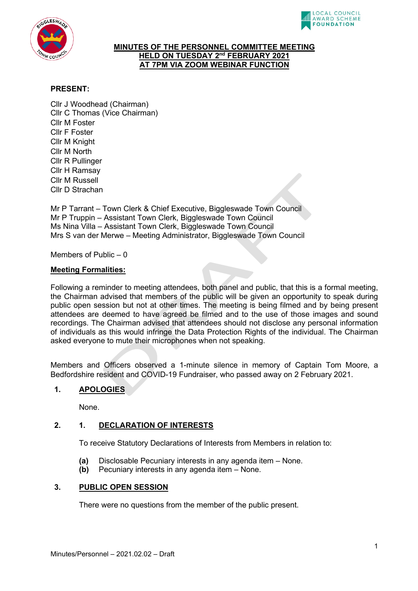



#### **MINUTES OF THE PERSONNEL COMMITTEE MEETING HELD ON TUESDAY 2nd FEBRUARY 2021 AT 7PM VIA ZOOM WEBINAR FUNCTION**

## **PRESENT:**

Cllr J Woodhead (Chairman) Cllr C Thomas (Vice Chairman) Cllr M Foster Cllr F Foster Cllr M Knight Cllr M North Cllr R Pullinger Cllr H Ramsay Cllr M Russell Cllr D Strachan

Mr P Tarrant – Town Clerk & Chief Executive, Biggleswade Town Council Mr P Truppin – Assistant Town Clerk, Biggleswade Town Council Ms Nina Villa – Assistant Town Clerk, Biggleswade Town Council Mrs S van der Merwe – Meeting Administrator, Biggleswade Town Council

Members of Public – 0

#### **Meeting Formalities:**

Following a reminder to meeting attendees, both panel and public, that this is a formal meeting, the Chairman advised that members of the public will be given an opportunity to speak during public open session but not at other times. The meeting is being filmed and by being present attendees are deemed to have agreed be filmed and to the use of those images and sound recordings. The Chairman advised that attendees should not disclose any personal information of individuals as this would infringe the Data Protection Rights of the individual. The Chairman asked everyone to mute their microphones when not speaking.

Members and Officers observed a 1-minute silence in memory of Captain Tom Moore, a Bedfordshire resident and COVID-19 Fundraiser, who passed away on 2 February 2021.

### **1. APOLOGIES**

None.

### **2. 1. DECLARATION OF INTERESTS**

To receive Statutory Declarations of Interests from Members in relation to:

- **(a)** Disclosable Pecuniary interests in any agenda item None.
- **(b)** Pecuniary interests in any agenda item None.

### **3. PUBLIC OPEN SESSION**

There were no questions from the member of the public present.